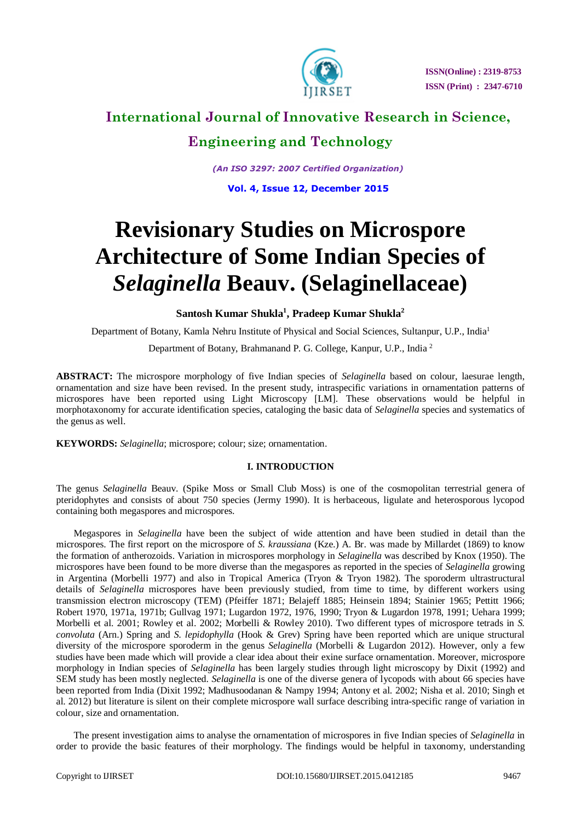

## **International Journal of Innovative Research in Science,**

### **Engineering and Technology**

*(An ISO 3297: 2007 Certified Organization)*

**Vol. 4, Issue 12, December 2015**

# **Revisionary Studies on Microspore Architecture of Some Indian Species of**  *Selaginella* **Beauv. (Selaginellaceae)**

### **Santosh Kumar Shukla<sup>1</sup> , Pradeep Kumar Shukla<sup>2</sup>**

Department of Botany, Kamla Nehru Institute of Physical and Social Sciences, Sultanpur, U.P., India<sup>1</sup>

Department of Botany, Brahmanand P. G. College, Kanpur, U.P., India <sup>2</sup>

**ABSTRACT:** The microspore morphology of five Indian species of *Selaginella* based on colour, laesurae length, ornamentation and size have been revised. In the present study, intraspecific variations in ornamentation patterns of microspores have been reported using Light Microscopy [LM]. These observations would be helpful in morphotaxonomy for accurate identification species, cataloging the basic data of *Selaginella* species and systematics of the genus as well.

**KEYWORDS:** *Selaginella*; microspore; colour; size; ornamentation.

### **I. INTRODUCTION**

The genus *Selaginella* Beauv. (Spike Moss or Small Club Moss) is one of the cosmopolitan terrestrial genera of pteridophytes and consists of about 750 species (Jermy 1990). It is herbaceous, ligulate and heterosporous lycopod containing both megaspores and microspores.

Megaspores in *Selaginella* have been the subject of wide attention and have been studied in detail than the microspores. The first report on the microspore of *S. kraussiana* (Kze.) A. Br. was made by Millardet (1869) to know the formation of antherozoids. Variation in microspores morphology in *Selaginella* was described by Knox (1950). The microspores have been found to be more diverse than the megaspores as reported in the species of *Selaginella* growing in Argentina (Morbelli 1977) and also in Tropical America (Tryon & Tryon 1982). The sporoderm ultrastructural details of *Selaginella* microspores have been previously studied, from time to time, by different workers using transmission electron microscopy (TEM) (Pfeiffer 1871; Belajeff 1885; Heinsein 1894; Stainier 1965; Pettitt 1966; Robert 1970, 1971a, 1971b; Gullvag 1971; Lugardon 1972, 1976, 1990; Tryon & Lugardon 1978, 1991; Uehara 1999; Morbelli et al. 2001; Rowley et al. 2002; Morbelli & Rowley 2010). Two different types of microspore tetrads in *S. convoluta* (Arn.) Spring and *S. lepidophylla* (Hook & Grev) Spring have been reported which are unique structural diversity of the microspore sporoderm in the genus *Selaginella* (Morbelli & Lugardon 2012). However, only a few studies have been made which will provide a clear idea about their exine surface ornamentation. Moreover, microspore morphology in Indian species of *Selaginella* has been largely studies through light microscopy by Dixit (1992) and SEM study has been mostly neglected. *Selaginella* is one of the diverse genera of lycopods with about 66 species have been reported from India (Dixit 1992; Madhusoodanan & Nampy 1994; Antony et al. 2002; Nisha et al. 2010; Singh et al. 2012) but literature is silent on their complete microspore wall surface describing intra-specific range of variation in colour, size and ornamentation.

The present investigation aims to analyse the ornamentation of microspores in five Indian species of *Selaginella* in order to provide the basic features of their morphology. The findings would be helpful in taxonomy, understanding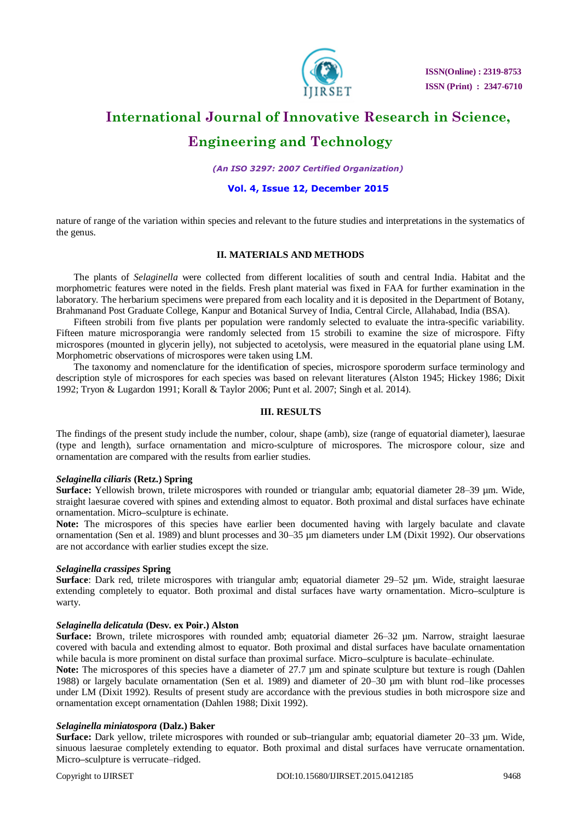

 **ISSN(Online) : 2319-8753 ISSN (Print) : 2347-6710**

## **International Journal of Innovative Research in Science, Engineering and Technology**

### *(An ISO 3297: 2007 Certified Organization)*

### **Vol. 4, Issue 12, December 2015**

nature of range of the variation within species and relevant to the future studies and interpretations in the systematics of the genus.

### **II. MATERIALS AND METHODS**

The plants of *Selaginella* were collected from different localities of south and central India. Habitat and the morphometric features were noted in the fields. Fresh plant material was fixed in FAA for further examination in the laboratory. The herbarium specimens were prepared from each locality and it is deposited in the Department of Botany, Brahmanand Post Graduate College, Kanpur and Botanical Survey of India, Central Circle, Allahabad, India (BSA).

Fifteen strobili from five plants per population were randomly selected to evaluate the intra-specific variability. Fifteen mature microsporangia were randomly selected from 15 strobili to examine the size of microspore. Fifty microspores (mounted in glycerin jelly), not subjected to acetolysis, were measured in the equatorial plane using LM. Morphometric observations of microspores were taken using LM.

The taxonomy and nomenclature for the identification of species, microspore sporoderm surface terminology and description style of microspores for each species was based on relevant literatures (Alston 1945; Hickey 1986; Dixit 1992; Tryon & Lugardon 1991; Korall & Taylor 2006; Punt et al. 2007; Singh et al. 2014).

### **III. RESULTS**

The findings of the present study include the number, colour, shape (amb), size (range of equatorial diameter), laesurae (type and length), surface ornamentation and micro-sculpture of microspores. The microspore colour, size and ornamentation are compared with the results from earlier studies.

#### *Selaginella ciliaris* **(Retz.) Spring**

**Surface:** Yellowish brown, trilete microspores with rounded or triangular amb; equatorial diameter 28–39 µm. Wide, straight laesurae covered with spines and extending almost to equator. Both proximal and distal surfaces have echinate ornamentation. Micro**–**sculpture is echinate.

**Note:** The microspores of this species have earlier been documented having with largely baculate and clavate ornamentation (Sen et al. 1989) and blunt processes and 30–35 µm diameters under LM (Dixit 1992). Our observations are not accordance with earlier studies except the size.

### *Selaginella crassipes* **Spring**

**Surface**: Dark red, trilete microspores with triangular amb; equatorial diameter 29–52 µm. Wide, straight laesurae extending completely to equator. Both proximal and distal surfaces have warty ornamentation. Micro**–**sculpture is warty.

#### *Selaginella delicatula* **(Desv. ex Poir.) Alston**

**Surface:** Brown, trilete microspores with rounded amb; equatorial diameter 26–32 µm. Narrow, straight laesurae covered with bacula and extending almost to equator. Both proximal and distal surfaces have baculate ornamentation while bacula is more prominent on distal surface than proximal surface. Micro**–**sculpture is baculate–echinulate.

**Note:** The microspores of this species have a diameter of 27.7  $\mu$ m and spinate sculpture but texture is rough (Dahlen 1988) or largely baculate ornamentation (Sen et al. 1989) and diameter of 20–30 µm with blunt rod–like processes under LM (Dixit 1992). Results of present study are accordance with the previous studies in both microspore size and ornamentation except ornamentation (Dahlen 1988; Dixit 1992).

#### *Selaginella miniatospora* **(Dalz.) Baker**

**Surface:** Dark yellow, trilete microspores with rounded or sub**–**triangular amb; equatorial diameter 20–33 µm. Wide, sinuous laesurae completely extending to equator. Both proximal and distal surfaces have verrucate ornamentation. Micro**–**sculpture is verrucate–ridged.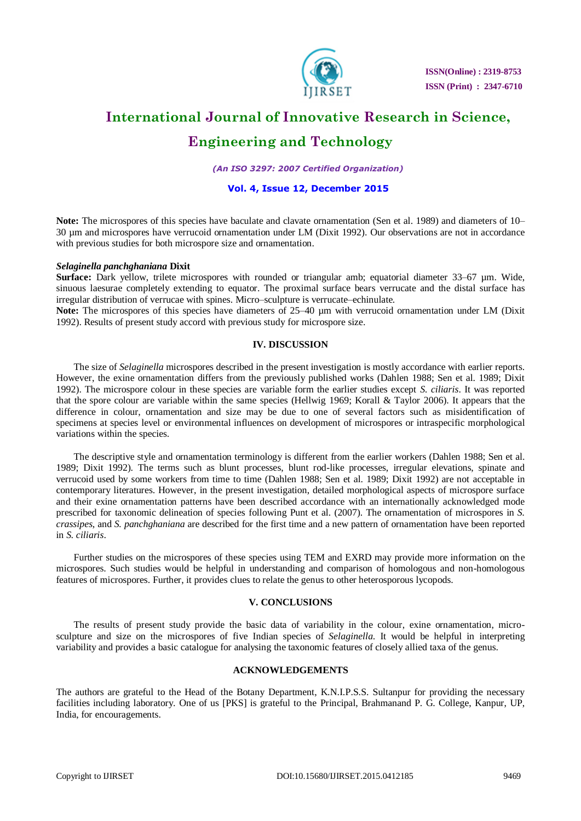

 **ISSN(Online) : 2319-8753 ISSN (Print) : 2347-6710**

# **International Journal of Innovative Research in Science,**

### **Engineering and Technology**

*(An ISO 3297: 2007 Certified Organization)*

### **Vol. 4, Issue 12, December 2015**

**Note:** The microspores of this species have baculate and clavate ornamentation (Sen et al. 1989) and diameters of 10– 30 µm and microspores have verrucoid ornamentation under LM (Dixit 1992). Our observations are not in accordance with previous studies for both microspore size and ornamentation.

### *Selaginella panchghaniana* **Dixit**

**Surface:** Dark yellow, trilete microspores with rounded or triangular amb; equatorial diameter 33–67 µm. Wide, sinuous laesurae completely extending to equator. The proximal surface bears verrucate and the distal surface has irregular distribution of verrucae with spines. Micro–sculpture is verrucate–echinulate.

**Note:** The microspores of this species have diameters of 25–40 µm with verrucoid ornamentation under LM (Dixit 1992). Results of present study accord with previous study for microspore size.

### **IV. DISCUSSION**

The size of *Selaginella* microspores described in the present investigation is mostly accordance with earlier reports. However, the exine ornamentation differs from the previously published works (Dahlen 1988; Sen et al. 1989; Dixit 1992). The microspore colour in these species are variable form the earlier studies except *S. ciliaris*. It was reported that the spore colour are variable within the same species (Hellwig 1969; Korall & Taylor 2006). It appears that the difference in colour, ornamentation and size may be due to one of several factors such as misidentification of specimens at species level or environmental influences on development of microspores or intraspecific morphological variations within the species.

The descriptive style and ornamentation terminology is different from the earlier workers (Dahlen 1988; Sen et al. 1989; Dixit 1992). The terms such as blunt processes, blunt rod-like processes, irregular elevations, spinate and verrucoid used by some workers from time to time (Dahlen 1988; Sen et al. 1989; Dixit 1992) are not acceptable in contemporary literatures. However, in the present investigation, detailed morphological aspects of microspore surface and their exine ornamentation patterns have been described accordance with an internationally acknowledged mode prescribed for taxonomic delineation of species following Punt et al. (2007). The ornamentation of microspores in *S. crassipes*, and *S. panchghaniana* are described for the first time and a new pattern of ornamentation have been reported in *S. ciliaris*.

Further studies on the microspores of these species using TEM and EXRD may provide more information on the microspores. Such studies would be helpful in understanding and comparison of homologous and non-homologous features of microspores. Further, it provides clues to relate the genus to other heterosporous lycopods.

### **V. CONCLUSIONS**

The results of present study provide the basic data of variability in the colour, exine ornamentation, microsculpture and size on the microspores of five Indian species of *Selaginella*. It would be helpful in interpreting variability and provides a basic catalogue for analysing the taxonomic features of closely allied taxa of the genus.

### **ACKNOWLEDGEMENTS**

The authors are grateful to the Head of the Botany Department, K.N.I.P.S.S. Sultanpur for providing the necessary facilities including laboratory. One of us [PKS] is grateful to the Principal, Brahmanand P. G. College, Kanpur, UP, India, for encouragements.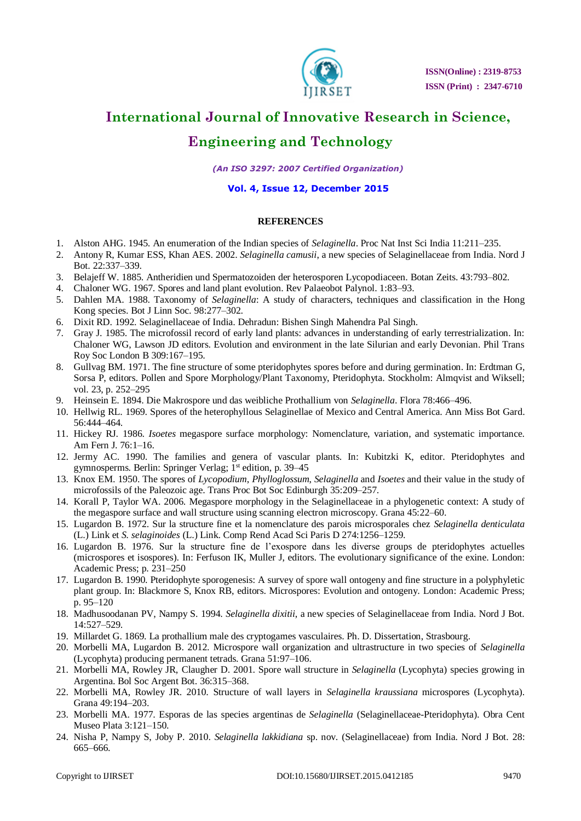

### **International Journal of Innovative Research in Science,**

### **Engineering and Technology**

*(An ISO 3297: 2007 Certified Organization)*

### **Vol. 4, Issue 12, December 2015**

### **REFERENCES**

- 1. Alston AHG. 1945. An enumeration of the Indian species of *Selaginella*. Proc Nat Inst Sci India 11:211–235.
- 2. Antony R, Kumar ESS, Khan AES. 2002. *Selaginella camusii*, a new species of Selaginellaceae from India. Nord J Bot. 22:337–339.
- 3. Belajeff W. 1885. Antheridien und Spermatozoiden der heterosporen Lycopodiaceen. Botan Zeits. 43:793–802.
- 4. Chaloner WG. 1967. Spores and land plant evolution. Rev Palaeobot Palynol. 1:83–93.
- 5. Dahlen MA. 1988. Taxonomy of *Selaginella*: A study of characters, techniques and classification in the Hong Kong species. Bot J Linn Soc. 98:277–302.
- 6. Dixit RD. 1992. Selaginellaceae of India. Dehradun: Bishen Singh Mahendra Pal Singh.
- 7. Gray J. 1985. The microfossil record of early land plants: advances in understanding of early terrestrialization. In: Chaloner WG, Lawson JD editors. Evolution and environment in the late Silurian and early Devonian. Phil Trans Roy Soc London B 309:167–195.
- 8. Gullvag BM. 1971. The fine structure of some pteridophytes spores before and during germination. In: Erdtman G, Sorsa P, editors. Pollen and Spore Morphology/Plant Taxonomy, Pteridophyta. Stockholm: Almqvist and Wiksell; vol. 23, p. 252–295
- 9. Heinsein E. 1894. Die Makrospore und das weibliche Prothallium von *Selaginella*. Flora 78:466–496.
- 10. Hellwig RL. 1969. Spores of the heterophyllous Selaginellae of Mexico and Central America. Ann Miss Bot Gard. 56:444–464.
- 11. Hickey RJ. 1986. *Isoetes* megaspore surface morphology: Nomenclature, variation, and systematic importance. Am Fern J. 76:1–16.
- 12. Jermy AC. 1990. The families and genera of vascular plants. In: Kubitzki K, editor. Pteridophytes and gymnosperms. Berlin: Springer Verlag; 1<sup>st</sup> edition, p. 39–45
- 13. Knox EM. 1950. The spores of *Lycopodium*, *Phylloglossum*, *Selaginella* and *Isoetes* and their value in the study of microfossils of the Paleozoic age. Trans Proc Bot Soc Edinburgh 35:209–257.
- 14. Korall P, Taylor WA. 2006. Megaspore morphology in the Selaginellaceae in a phylogenetic context: A study of the megaspore surface and wall structure using scanning electron microscopy. Grana 45:22–60.
- 15. Lugardon B. 1972. Sur la structure fine et la nomenclature des parois microsporales chez *Selaginella denticulata* (L.) Link et *S. selaginoides* (L.) Link. Comp Rend Acad Sci Paris D 274:1256–1259.
- 16. Lugardon B. 1976. Sur la structure fine de l'exospore dans les diverse groups de pteridophytes actuelles (microspores et isospores). In: Ferfuson IK, Muller J, editors. The evolutionary significance of the exine. London: Academic Press; p. 231–250
- 17. Lugardon B. 1990. Pteridophyte sporogenesis: A survey of spore wall ontogeny and fine structure in a polyphyletic plant group. In: Blackmore S, Knox RB, editors. Microspores: Evolution and ontogeny. London: Academic Press; p. 95–120
- 18. Madhusoodanan PV, Nampy S. 1994. *Selaginella dixitii*, a new species of Selaginellaceae from India. Nord J Bot. 14:527–529.
- 19. Millardet G. 1869. La prothallium male des cryptogames vasculaires. Ph. D. Dissertation, Strasbourg.
- 20. Morbelli MA, Lugardon B. 2012. Microspore wall organization and ultrastructure in two species of *Selaginella* (Lycophyta) producing permanent tetrads. Grana 51:97–106.
- 21. Morbelli MA, Rowley JR, Claugher D. 2001. Spore wall structure in *Selaginella* (Lycophyta) species growing in Argentina. Bol Soc Argent Bot. 36:315–368.
- 22. Morbelli MA, Rowley JR. 2010. Structure of wall layers in *Selaginella kraussiana* microspores (Lycophyta). Grana 49:194–203.
- 23. Morbelli MA. 1977. Esporas de las species argentinas de *Selaginella* (Selaginellaceae-Pteridophyta). Obra Cent Museo Plata 3:121–150.
- 24. Nisha P, Nampy S, Joby P. 2010. *Selaginella lakkidiana* sp. nov. (Selaginellaceae) from India. Nord J Bot. 28: 665–666.